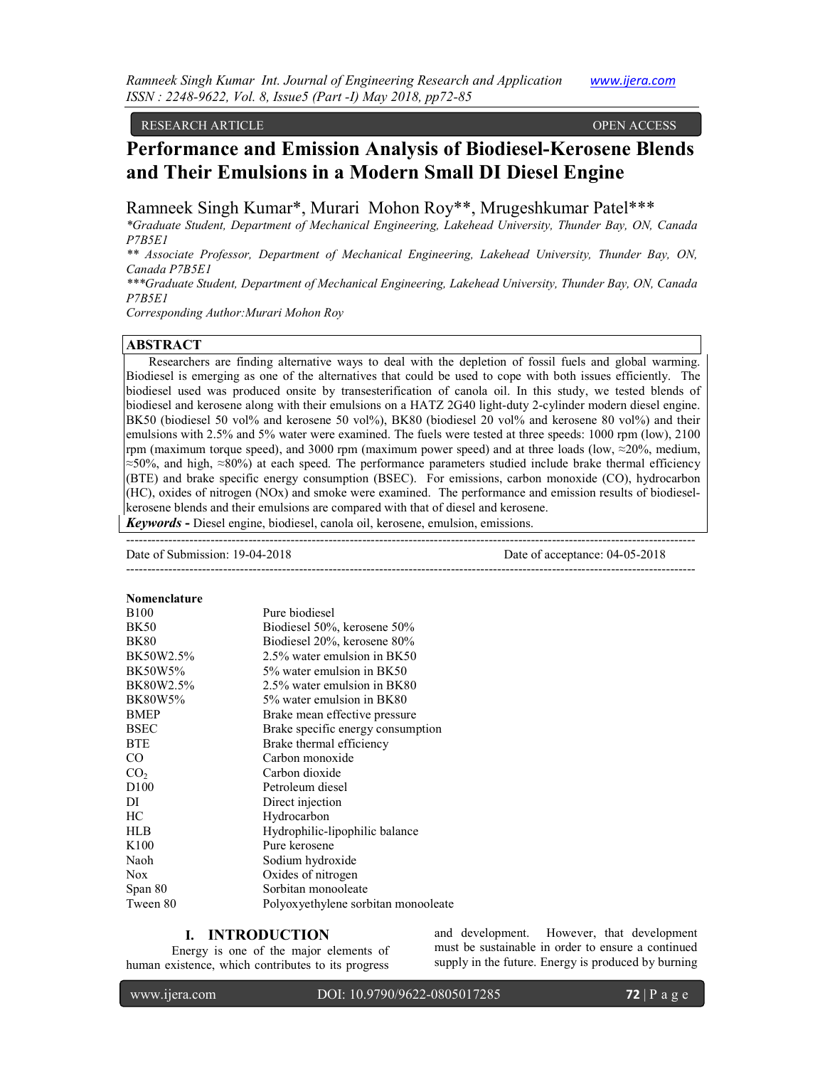RESEARCH ARTICLE OPEN ACCESS

# **Performance and Emission Analysis of Biodiesel-Kerosene Blends and Their Emulsions in a Modern Small DI Diesel Engine**

Ramneek Singh Kumar\*, Murari Mohon Roy\*\*, Mrugeshkumar Patel\*\*\*

*\*Graduate Student, Department of Mechanical Engineering, Lakehead University, Thunder Bay, ON, Canada P7B5E1* 

*\*\* Associate Professor, Department of Mechanical Engineering, Lakehead University, Thunder Bay, ON, Canada P7B5E1* 

*\*\*\*Graduate Student, Department of Mechanical Engineering, Lakehead University, Thunder Bay, ON, Canada P7B5E1* 

*Corresponding Author:Murari Mohon Roy* 

## **ABSTRACT**

Researchers are finding alternative ways to deal with the depletion of fossil fuels and global warming. Biodiesel is emerging as one of the alternatives that could be used to cope with both issues efficiently. The biodiesel used was produced onsite by transesterification of canola oil. In this study, we tested blends of biodiesel and kerosene along with their emulsions on a HATZ 2G40 light-duty 2-cylinder modern diesel engine. BK50 (biodiesel 50 vol% and kerosene 50 vol%), BK80 (biodiesel 20 vol% and kerosene 80 vol%) and their emulsions with 2.5% and 5% water were examined. The fuels were tested at three speeds: 1000 rpm (low), 2100 rpm (maximum torque speed), and 3000 rpm (maximum power speed) and at three loads (low, ≈20%, medium, ≈50%, and high, ≈80%) at each speed. The performance parameters studied include brake thermal efficiency (BTE) and brake specific energy consumption (BSEC). For emissions, carbon monoxide (CO), hydrocarbon (HC), oxides of nitrogen (NOx) and smoke were examined. The performance and emission results of biodieselkerosene blends and their emulsions are compared with that of diesel and kerosene.

*Keywords* **-** Diesel engine, biodiesel, canola oil, kerosene, emulsion, emissions.

--------------------------------------------------------------------------------------------------------------------------------------- Date of Submission: 19-04-2018 Date of acceptance: 04-05-2018 ---------------------------------------------------------------------------------------------------------------------------------------

| Nomenclature     |                                      |
|------------------|--------------------------------------|
| <b>B100</b>      | Pure biodiesel                       |
| <b>BK50</b>      | Biodiesel 50%, kerosene 50%          |
| <b>BK80</b>      | Biodiesel 20%, kerosene 80%          |
| BK50W2.5%        | 2.5% water emulsion in BK50          |
| <b>BK50W5%</b>   | 5% water emulsion in BK50            |
| BK80W2.5%        | 2.5% water emulsion in BK80          |
| <b>BK80W5%</b>   | 5% water emulsion in BK80            |
| <b>BMEP</b>      | Brake mean effective pressure        |
| <b>BSEC</b>      | Brake specific energy consumption    |
| <b>BTE</b>       | Brake thermal efficiency             |
| CO.              | Carbon monoxide                      |
| CO <sub>2</sub>  | Carbon dioxide                       |
| D <sub>100</sub> | Petroleum diesel                     |
| DI               | Direct injection                     |
| HС               | Hydrocarbon                          |
| <b>HLB</b>       | Hydrophilic-lipophilic balance       |
| K <sub>100</sub> | Pure kerosene                        |
| Naoh             | Sodium hydroxide                     |
| <b>Nox</b>       | Oxides of nitrogen                   |
| Span 80          | Sorbitan monooleate                  |
| Tween 80         | Polyox yethylene sorbitan monooleate |

# **I. INTRODUCTION**

Energy is one of the major elements of human existence, which contributes to its progress

and development. However, that development must be sustainable in order to ensure a continued supply in the future. Energy is produced by burning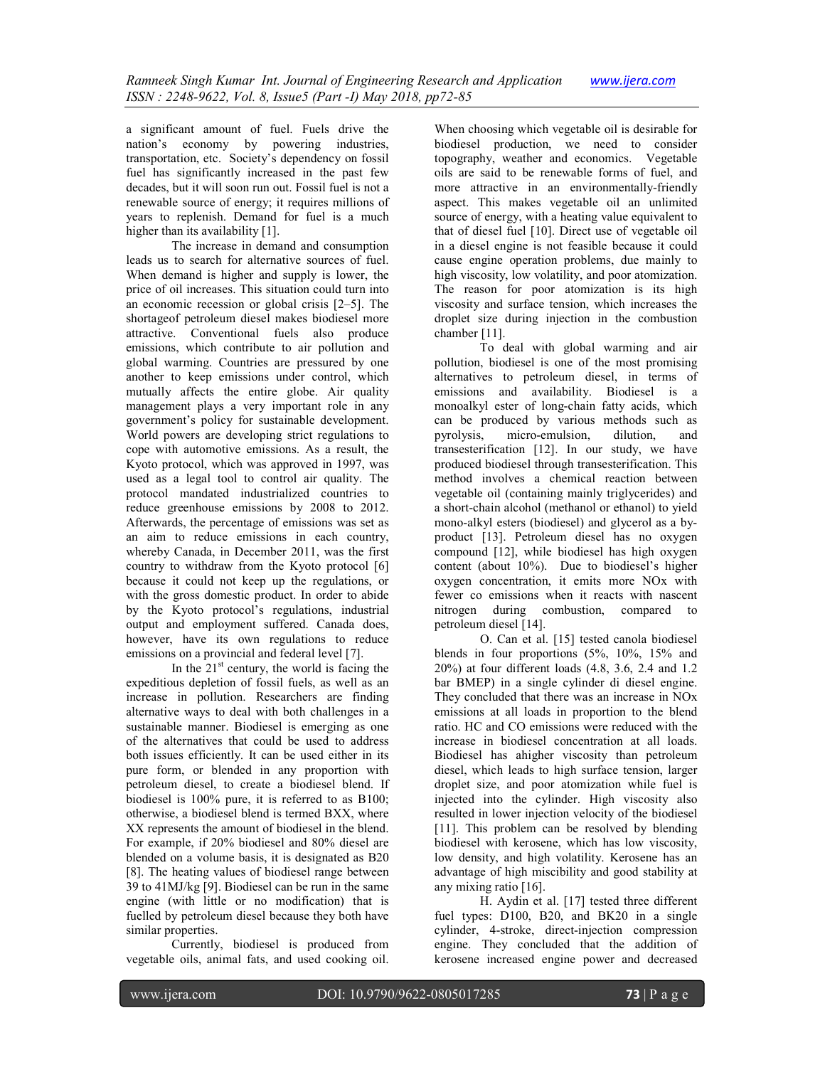a significant amount of fuel. Fuels drive the nation's economy by powering industries, transportation, etc. Society's dependency on fossil fuel has significantly increased in the past few decades, but it will soon run out. Fossil fuel is not a renewable source of energy; it requires millions of years to replenish. Demand for fuel is a much higher than its availability [1].

The increase in demand and consumption leads us to search for alternative sources of fuel. When demand is higher and supply is lower, the price of oil increases. This situation could turn into an economic recession or global crisis [2–5]. The shortageof petroleum diesel makes biodiesel more attractive. Conventional fuels also produce emissions, which contribute to air pollution and global warming. Countries are pressured by one another to keep emissions under control, which mutually affects the entire globe. Air quality management plays a very important role in any government's policy for sustainable development. World powers are developing strict regulations to cope with automotive emissions. As a result, the Kyoto protocol, which was approved in 1997, was used as a legal tool to control air quality. The protocol mandated industrialized countries to reduce greenhouse emissions by 2008 to 2012. Afterwards, the percentage of emissions was set as an aim to reduce emissions in each country, whereby Canada, in December 2011, was the first country to withdraw from the Kyoto protocol [6] because it could not keep up the regulations, or with the gross domestic product. In order to abide by the Kyoto protocol's regulations, industrial output and employment suffered. Canada does, however, have its own regulations to reduce emissions on a provincial and federal level [7].

In the  $21<sup>st</sup>$  century, the world is facing the expeditious depletion of fossil fuels, as well as an increase in pollution. Researchers are finding alternative ways to deal with both challenges in a sustainable manner. Biodiesel is emerging as one of the alternatives that could be used to address both issues efficiently. It can be used either in its pure form, or blended in any proportion with petroleum diesel, to create a biodiesel blend. If biodiesel is 100% pure, it is referred to as B100; otherwise, a biodiesel blend is termed BXX, where XX represents the amount of biodiesel in the blend. For example, if 20% biodiesel and 80% diesel are blended on a volume basis, it is designated as B20 [8]. The heating values of biodiesel range between 39 to 41MJ/kg [9]. Biodiesel can be run in the same engine (with little or no modification) that is fuelled by petroleum diesel because they both have similar properties.

Currently, biodiesel is produced from vegetable oils, animal fats, and used cooking oil.

When choosing which vegetable oil is desirable for biodiesel production, we need to consider topography, weather and economics. Vegetable oils are said to be renewable forms of fuel, and more attractive in an environmentally-friendly aspect. This makes vegetable oil an unlimited source of energy, with a heating value equivalent to that of diesel fuel [10]. Direct use of vegetable oil in a diesel engine is not feasible because it could cause engine operation problems, due mainly to high viscosity, low volatility, and poor atomization. The reason for poor atomization is its high viscosity and surface tension, which increases the droplet size during injection in the combustion chamber [11].

To deal with global warming and air pollution, biodiesel is one of the most promising alternatives to petroleum diesel, in terms of emissions and availability. Biodiesel is a monoalkyl ester of long-chain fatty acids, which can be produced by various methods such as pyrolysis, micro-emulsion, dilution, and micro-emulsion, dilution, and transesterification [12]. In our study, we have produced biodiesel through transesterification. This method involves a chemical reaction between vegetable oil (containing mainly triglycerides) and a short-chain alcohol (methanol or ethanol) to yield mono-alkyl esters (biodiesel) and glycerol as a byproduct [13]. Petroleum diesel has no oxygen compound [12], while biodiesel has high oxygen content (about 10%). Due to biodiesel's higher oxygen concentration, it emits more NOx with fewer co emissions when it reacts with nascent nitrogen during combustion, compared to petroleum diesel [14].

O. Can et al. [15] tested canola biodiesel blends in four proportions (5%, 10%, 15% and 20%) at four different loads (4.8, 3.6, 2.4 and 1.2 bar BMEP) in a single cylinder di diesel engine. They concluded that there was an increase in NOx emissions at all loads in proportion to the blend ratio. HC and CO emissions were reduced with the increase in biodiesel concentration at all loads. Biodiesel has ahigher viscosity than petroleum diesel, which leads to high surface tension, larger droplet size, and poor atomization while fuel is injected into the cylinder. High viscosity also resulted in lower injection velocity of the biodiesel [11]. This problem can be resolved by blending biodiesel with kerosene, which has low viscosity, low density, and high volatility. Kerosene has an advantage of high miscibility and good stability at any mixing ratio [16].

H. Aydin et al. [17] tested three different fuel types: D100, B20, and BK20 in a single cylinder, 4-stroke, direct-injection compression engine. They concluded that the addition of kerosene increased engine power and decreased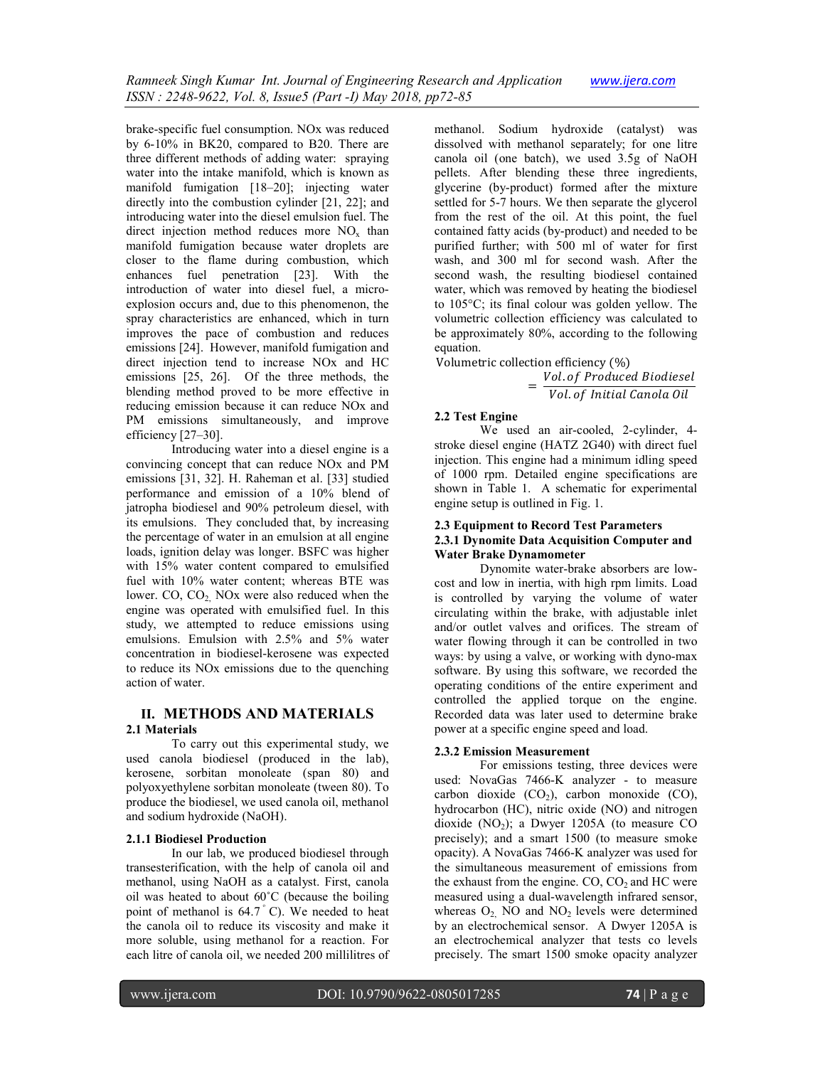brake-specific fuel consumption. NOx was reduced by 6-10% in BK20, compared to B20. There are three different methods of adding water: spraying water into the intake manifold, which is known as manifold fumigation [18–20]; injecting water directly into the combustion cylinder [21, 22]; and introducing water into the diesel emulsion fuel. The direct injection method reduces more  $NO<sub>x</sub>$  than manifold fumigation because water droplets are closer to the flame during combustion, which enhances fuel penetration [23]. With the introduction of water into diesel fuel, a microexplosion occurs and, due to this phenomenon, the spray characteristics are enhanced, which in turn improves the pace of combustion and reduces emissions [24]. However, manifold fumigation and direct injection tend to increase NOx and HC emissions [25, 26]. Of the three methods, the blending method proved to be more effective in reducing emission because it can reduce NOx and PM emissions simultaneously, and improve efficiency [27–30].

Introducing water into a diesel engine is a convincing concept that can reduce NOx and PM emissions [31, 32]. H. Raheman et al. [33] studied performance and emission of a 10% blend of jatropha biodiesel and 90% petroleum diesel, with its emulsions. They concluded that, by increasing the percentage of water in an emulsion at all engine loads, ignition delay was longer. BSFC was higher with 15% water content compared to emulsified fuel with 10% water content; whereas BTE was lower.  $CO$ ,  $CO<sub>2</sub>$  NOx were also reduced when the engine was operated with emulsified fuel. In this study, we attempted to reduce emissions using emulsions. Emulsion with 2.5% and 5% water concentration in biodiesel-kerosene was expected to reduce its NOx emissions due to the quenching action of water.

# **II. METHODS AND MATERIALS**

## **2.1 Materials**

To carry out this experimental study, we used canola biodiesel (produced in the lab), kerosene, sorbitan monoleate (span 80) and polyoxyethylene sorbitan monoleate (tween 80). To produce the biodiesel, we used canola oil, methanol and sodium hydroxide (NaOH).

## **2.1.1 Biodiesel Production**

In our lab, we produced biodiesel through transesterification, with the help of canola oil and methanol, using NaOH as a catalyst. First, canola oil was heated to about 60˚C (because the boiling point of methanol is  $64.7\degree$  C). We needed to heat the canola oil to reduce its viscosity and make it more soluble, using methanol for a reaction. For each litre of canola oil, we needed 200 millilitres of methanol. Sodium hydroxide (catalyst) was dissolved with methanol separately; for one litre canola oil (one batch), we used 3.5g of NaOH pellets. After blending these three ingredients, glycerine (by-product) formed after the mixture settled for 5-7 hours. We then separate the glycerol from the rest of the oil. At this point, the fuel contained fatty acids (by-product) and needed to be purified further; with 500 ml of water for first wash, and 300 ml for second wash. After the second wash, the resulting biodiesel contained water, which was removed by heating the biodiesel to 105°C; its final colour was golden yellow. The volumetric collection efficiency was calculated to be approximately 80%, according to the following equation.

Volumetric collection efficiency  $(\%)$  $=\frac{Vol. of \, produced \, Biodiesel}{Volch (Lef, lufish) Gwals (Qil)}$ Vol. of Initial Canola Oil

## **2.2 Test Engine**

We used an air-cooled, 2-cylinder, 4 stroke diesel engine (HATZ 2G40) with direct fuel injection. This engine had a minimum idling speed of 1000 rpm. Detailed engine specifications are shown in Table 1. A schematic for experimental engine setup is outlined in Fig. 1.

## **2.3 Equipment to Record Test Parameters 2.3.1 Dynomite Data Acquisition Computer and Water Brake Dynamometer**

Dynomite water-brake absorbers are lowcost and low in inertia, with high rpm limits. Load is controlled by varying the volume of water circulating within the brake, with adjustable inlet and/or outlet valves and orifices. The stream of water flowing through it can be controlled in two ways: by using a valve, or working with dyno-max software. By using this software, we recorded the operating conditions of the entire experiment and controlled the applied torque on the engine. Recorded data was later used to determine brake power at a specific engine speed and load.

## **2.3.2 Emission Measurement**

For emissions testing, three devices were used: NovaGas 7466-K analyzer - to measure carbon dioxide  $(CO_2)$ , carbon monoxide  $(CO)$ , hydrocarbon (HC), nitric oxide (NO) and nitrogen dioxide  $(NO<sub>2</sub>)$ ; a Dwyer 1205A (to measure CO precisely); and a smart 1500 (to measure smoke opacity). A NovaGas 7466-K analyzer was used for the simultaneous measurement of emissions from the exhaust from the engine.  $CO$ ,  $CO<sub>2</sub>$  and HC were measured using a dual-wavelength infrared sensor, whereas  $O_2$ , NO and NO<sub>2</sub> levels were determined by an electrochemical sensor. A Dwyer 1205A is an electrochemical analyzer that tests co levels precisely. The smart 1500 smoke opacity analyzer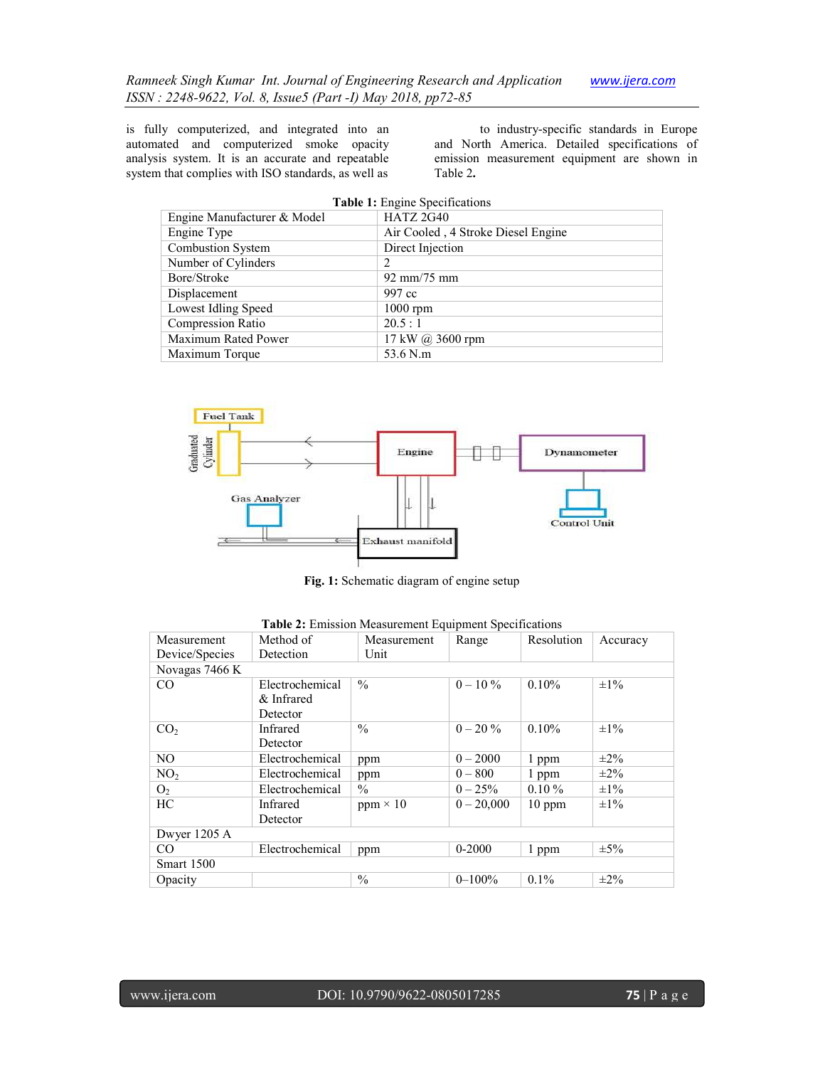is fully computerized, and integrated into an automated and computerized smoke opacity analysis system. It is an accurate and repeatable system that complies with ISO standards, as well as

to industry-specific standards in Europe and North America. Detailed specifications of emission measurement equipment are shown in Table 2**.**

| Table 1: Engine Specifications |                                    |  |  |
|--------------------------------|------------------------------------|--|--|
| Engine Manufacturer & Model    | <b>HATZ 2G40</b>                   |  |  |
| Engine Type                    | Air Cooled, 4 Stroke Diesel Engine |  |  |
| Combustion System              | Direct Injection                   |  |  |
| Number of Cylinders            | 2                                  |  |  |
| Bore/Stroke                    | $92 \text{ mm}/75 \text{ mm}$      |  |  |
| Displacement                   | 997 cc                             |  |  |
| Lowest Idling Speed            | $1000$ rpm                         |  |  |
| <b>Compression Ratio</b>       | 20.5:1                             |  |  |
| Maximum Rated Power            | 17 kW @ 3600 rpm                   |  |  |
| Maximum Torque                 | 53.6 N.m                           |  |  |



**Fig. 1:** Schematic diagram of engine setup

| Measurement     | Method of       | Measurement     | Range        | Resolution | Accuracy  |  |  |
|-----------------|-----------------|-----------------|--------------|------------|-----------|--|--|
| Device/Species  | Detection       | Unit            |              |            |           |  |  |
| Novagas 7466 K  |                 |                 |              |            |           |  |  |
| CO              | Electrochemical | $\frac{0}{0}$   | $0 - 10\%$   | 0.10%      | $\pm 1\%$ |  |  |
|                 | & Infrared      |                 |              |            |           |  |  |
|                 | Detector        |                 |              |            |           |  |  |
| CO <sub>2</sub> | Infrared        | $\frac{0}{0}$   | $0 - 20\%$   | 0.10%      | $\pm 1\%$ |  |  |
|                 | Detector        |                 |              |            |           |  |  |
| NO.             | Electrochemical | ppm             | $0 - 2000$   | 1 ppm      | $\pm 2\%$ |  |  |
| NO <sub>2</sub> | Electrochemical | ppm             | $0 - 800$    | 1 ppm      | $\pm 2\%$ |  |  |
| O <sub>2</sub>  | Electrochemical | $\frac{0}{0}$   | $0 - 25\%$   | $0.10\%$   | $\pm 1\%$ |  |  |
| HC              | Infrared        | $ppm \times 10$ | $0 - 20,000$ | $10$ ppm   | $\pm 1\%$ |  |  |
|                 | Detector        |                 |              |            |           |  |  |
| Dwyer 1205 A    |                 |                 |              |            |           |  |  |
| CO              | Electrochemical | ppm             | $0 - 2000$   | 1 ppm      | $\pm 5\%$ |  |  |
| Smart 1500      |                 |                 |              |            |           |  |  |
| Opacity         |                 | $\frac{0}{0}$   | $0 - 100\%$  | $0.1\%$    | $\pm 2\%$ |  |  |

| Table 2: Emission Measurement Equipment Specifications |  |  |  |
|--------------------------------------------------------|--|--|--|
|--------------------------------------------------------|--|--|--|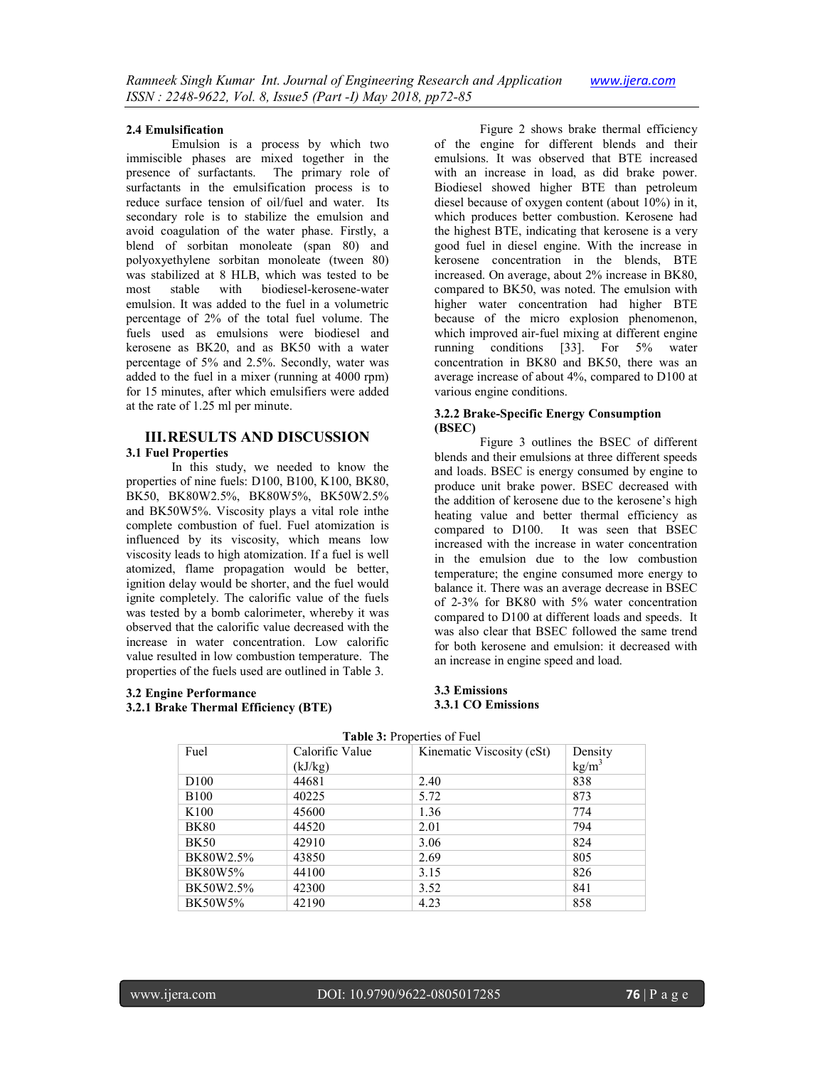#### **2.4 Emulsification**

Emulsion is a process by which two immiscible phases are mixed together in the presence of surfactants. The primary role of surfactants in the emulsification process is to reduce surface tension of oil/fuel and water. Its secondary role is to stabilize the emulsion and avoid coagulation of the water phase. Firstly, a blend of sorbitan monoleate (span 80) and polyoxyethylene sorbitan monoleate (tween 80) was stabilized at 8 HLB, which was tested to be<br>most stable with biodiesel-kerosene-water most stable with biodiesel-kerosene-water emulsion. It was added to the fuel in a volumetric percentage of 2% of the total fuel volume. The fuels used as emulsions were biodiesel and kerosene as BK20, and as BK50 with a water percentage of 5% and 2.5%. Secondly, water was added to the fuel in a mixer (running at 4000 rpm) for 15 minutes, after which emulsifiers were added at the rate of 1.25 ml per minute.

## **III.RESULTS AND DISCUSSION 3.1 Fuel Properties**

In this study, we needed to know the properties of nine fuels: D100, B100, K100, BK80, BK50, BK80W2.5%, BK80W5%, BK50W2.5% and BK50W5%. Viscosity plays a vital role inthe complete combustion of fuel. Fuel atomization is influenced by its viscosity, which means low viscosity leads to high atomization. If a fuel is well atomized, flame propagation would be better, ignition delay would be shorter, and the fuel would ignite completely. The calorific value of the fuels was tested by a bomb calorimeter, whereby it was observed that the calorific value decreased with the increase in water concentration. Low calorific value resulted in low combustion temperature. The properties of the fuels used are outlined in Table 3.

## **3.2 Engine Performance 3.2.1 Brake Thermal Efficiency (BTE)**

Figure 2 shows brake thermal efficiency of the engine for different blends and their emulsions. It was observed that BTE increased with an increase in load, as did brake power. Biodiesel showed higher BTE than petroleum diesel because of oxygen content (about 10%) in it, which produces better combustion. Kerosene had the highest BTE, indicating that kerosene is a very good fuel in diesel engine. With the increase in kerosene concentration in the blends, BTE increased. On average, about 2% increase in BK80, compared to BK50, was noted. The emulsion with higher water concentration had higher BTE because of the micro explosion phenomenon, which improved air-fuel mixing at different engine running conditions [33]. For 5% water concentration in BK80 and BK50, there was an average increase of about 4%, compared to D100 at various engine conditions.

#### **3.2.2 Brake-Specific Energy Consumption (BSEC)**

Figure 3 outlines the BSEC of different blends and their emulsions at three different speeds and loads. BSEC is energy consumed by engine to produce unit brake power. BSEC decreased with the addition of kerosene due to the kerosene's high heating value and better thermal efficiency as compared to D100. It was seen that BSEC increased with the increase in water concentration in the emulsion due to the low combustion temperature; the engine consumed more energy to balance it. There was an average decrease in BSEC of 2-3% for BK80 with 5% water concentration compared to D100 at different loads and speeds. It was also clear that BSEC followed the same trend for both kerosene and emulsion: it decreased with an increase in engine speed and load.

#### **3.3 Emissions 3.3.1 CO Emissions**

| <b>rabic 9.</b> 110 perces of Fuel |                 |                           |                   |  |  |  |
|------------------------------------|-----------------|---------------------------|-------------------|--|--|--|
| Fuel                               | Calorific Value | Kinematic Viscosity (cSt) | Density           |  |  |  |
|                                    | (kJ/kg)         |                           | kg/m <sup>3</sup> |  |  |  |
| D <sub>100</sub>                   | 44681           | 2.40                      | 838               |  |  |  |
| <b>B100</b>                        | 40225           | 5.72                      | 873               |  |  |  |
| K <sub>100</sub>                   | 45600           | 1.36                      | 774               |  |  |  |
| <b>BK80</b>                        | 44520           | 2.01                      | 794               |  |  |  |
| <b>BK50</b>                        | 42910           | 3.06                      | 824               |  |  |  |
| BK80W2.5%                          | 43850           | 2.69                      | 805               |  |  |  |
| <b>BK80W5%</b>                     | 44100           | 3.15                      | 826               |  |  |  |
| BK50W2.5%                          | 42300           | 3.52                      | 841               |  |  |  |
| BK50W5%                            | 42190           | 4.23                      | 858               |  |  |  |

## **Table 3:** Properties of Fuel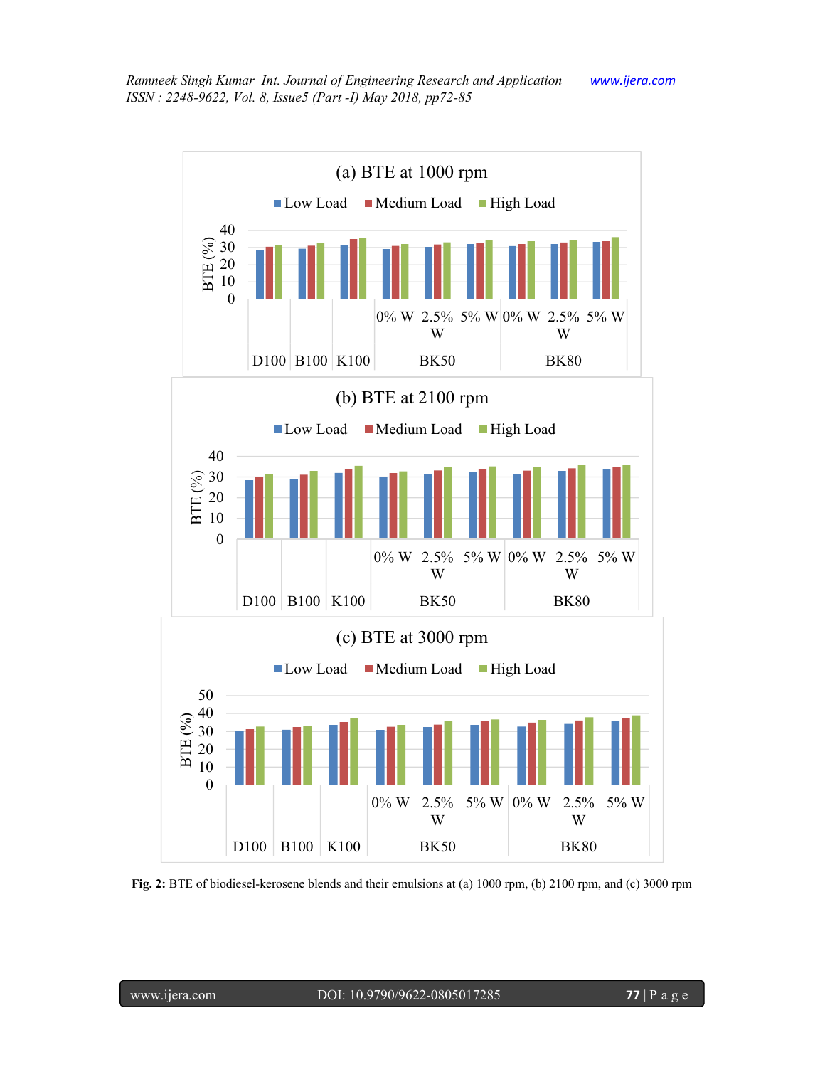

**Fig. 2:** BTE of biodiesel-kerosene blends and their emulsions at (a) 1000 rpm, (b) 2100 rpm, and (c) 3000 rpm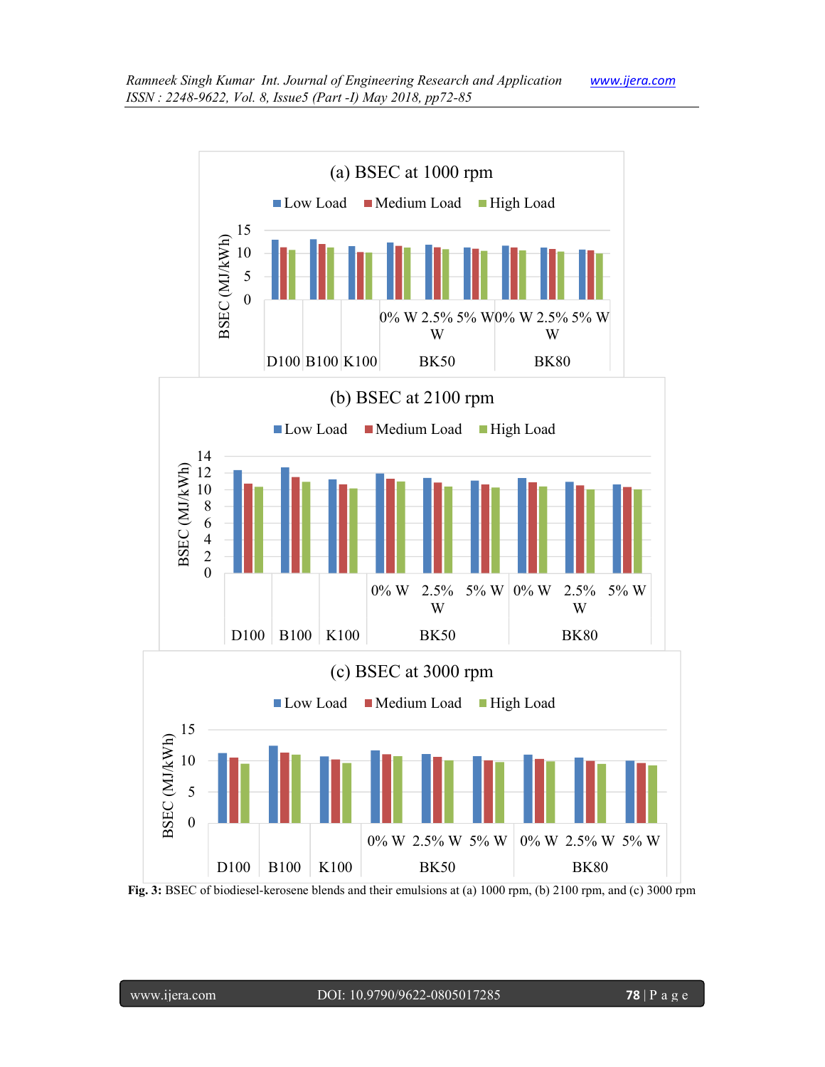

**Fig. 3:** BSEC of biodiesel-kerosene blends and their emulsions at (a) 1000 rpm, (b) 2100 rpm, and (c) 3000 rpm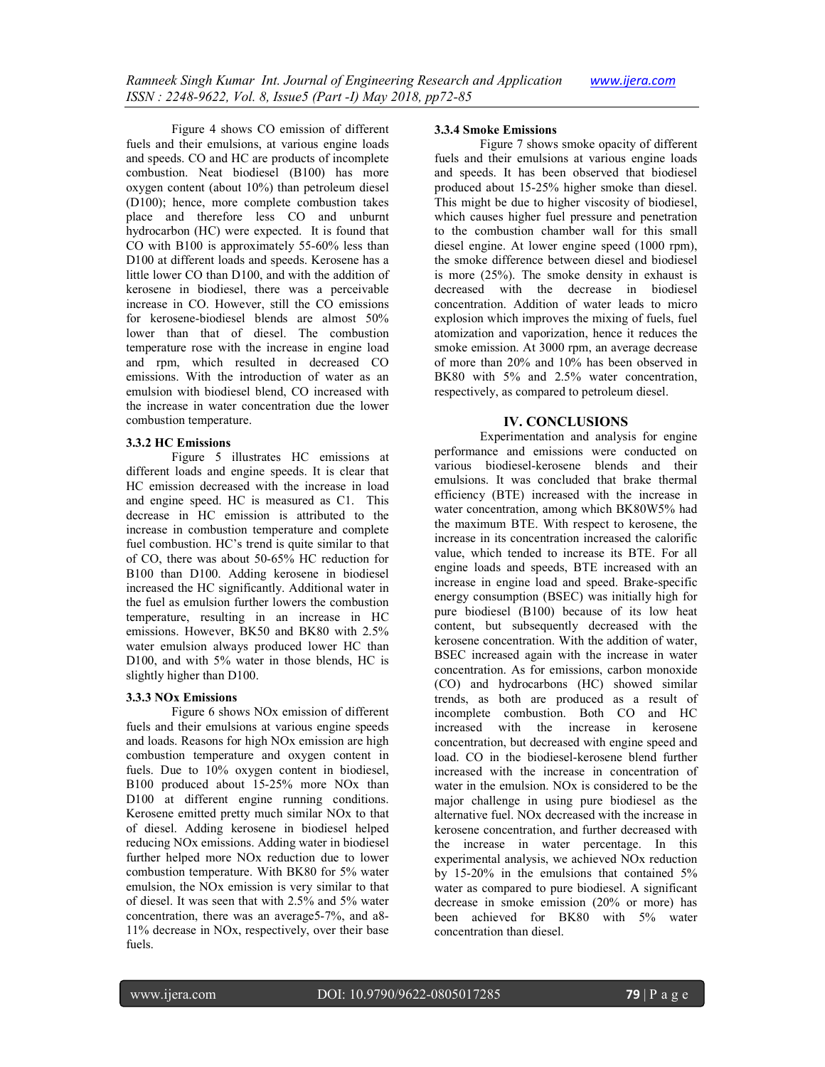Figure 4 shows CO emission of different fuels and their emulsions, at various engine loads and speeds. CO and HC are products of incomplete combustion. Neat biodiesel (B100) has more oxygen content (about 10%) than petroleum diesel (D100); hence, more complete combustion takes place and therefore less CO and unburnt hydrocarbon (HC) were expected. It is found that CO with B100 is approximately 55-60% less than D100 at different loads and speeds. Kerosene has a little lower CO than D100, and with the addition of kerosene in biodiesel, there was a perceivable increase in CO. However, still the CO emissions for kerosene-biodiesel blends are almost 50% lower than that of diesel. The combustion temperature rose with the increase in engine load and rpm, which resulted in decreased CO emissions. With the introduction of water as an emulsion with biodiesel blend, CO increased with the increase in water concentration due the lower combustion temperature.

## **3.3.2 HC Emissions**

Figure 5 illustrates HC emissions at different loads and engine speeds. It is clear that HC emission decreased with the increase in load and engine speed. HC is measured as C1. This decrease in HC emission is attributed to the increase in combustion temperature and complete fuel combustion. HC's trend is quite similar to that of CO, there was about 50-65% HC reduction for B100 than D100. Adding kerosene in biodiesel increased the HC significantly. Additional water in the fuel as emulsion further lowers the combustion temperature, resulting in an increase in HC emissions. However, BK50 and BK80 with 2.5% water emulsion always produced lower HC than D100, and with 5% water in those blends, HC is slightly higher than D100.

#### **3.3.3 NOx Emissions**

Figure 6 shows NOx emission of different fuels and their emulsions at various engine speeds and loads. Reasons for high NOx emission are high combustion temperature and oxygen content in fuels. Due to 10% oxygen content in biodiesel, B100 produced about 15-25% more NOx than D100 at different engine running conditions. Kerosene emitted pretty much similar NOx to that of diesel. Adding kerosene in biodiesel helped reducing NOx emissions. Adding water in biodiesel further helped more NOx reduction due to lower combustion temperature. With BK80 for 5% water emulsion, the NOx emission is very similar to that of diesel. It was seen that with 2.5% and 5% water concentration, there was an average5-7%, and a8- 11% decrease in NOx, respectively, over their base fuels.

#### **3.3.4 Smoke Emissions**

Figure 7 shows smoke opacity of different fuels and their emulsions at various engine loads and speeds. It has been observed that biodiesel produced about 15-25% higher smoke than diesel. This might be due to higher viscosity of biodiesel, which causes higher fuel pressure and penetration to the combustion chamber wall for this small diesel engine. At lower engine speed (1000 rpm), the smoke difference between diesel and biodiesel is more (25%). The smoke density in exhaust is decreased with the decrease in biodiesel concentration. Addition of water leads to micro explosion which improves the mixing of fuels, fuel atomization and vaporization, hence it reduces the smoke emission. At 3000 rpm, an average decrease of more than 20% and 10% has been observed in BK80 with 5% and 2.5% water concentration, respectively, as compared to petroleum diesel.

## **IV. CONCLUSIONS**

Experimentation and analysis for engine performance and emissions were conducted on various biodiesel-kerosene blends and their emulsions. It was concluded that brake thermal efficiency (BTE) increased with the increase in water concentration, among which BK80W5% had the maximum BTE. With respect to kerosene, the increase in its concentration increased the calorific value, which tended to increase its BTE. For all engine loads and speeds, BTE increased with an increase in engine load and speed. Brake-specific energy consumption (BSEC) was initially high for pure biodiesel (B100) because of its low heat content, but subsequently decreased with the kerosene concentration. With the addition of water, BSEC increased again with the increase in water concentration. As for emissions, carbon monoxide (CO) and hydrocarbons (HC) showed similar trends, as both are produced as a result of incomplete combustion. Both CO and HC increased with the increase in kerosene concentration, but decreased with engine speed and load. CO in the biodiesel-kerosene blend further increased with the increase in concentration of water in the emulsion. NOx is considered to be the major challenge in using pure biodiesel as the alternative fuel. NOx decreased with the increase in kerosene concentration, and further decreased with the increase in water percentage. In this experimental analysis, we achieved NOx reduction by 15-20% in the emulsions that contained 5% water as compared to pure biodiesel. A significant decrease in smoke emission (20% or more) has been achieved for BK80 with 5% water concentration than diesel.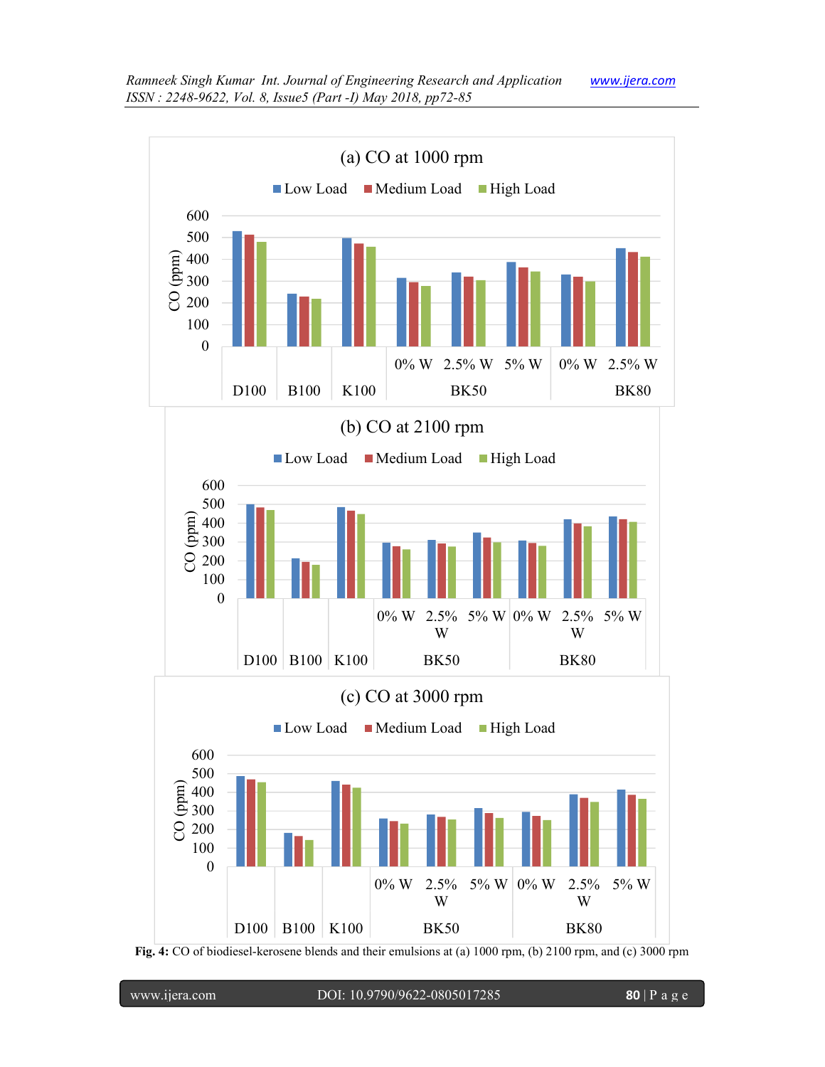

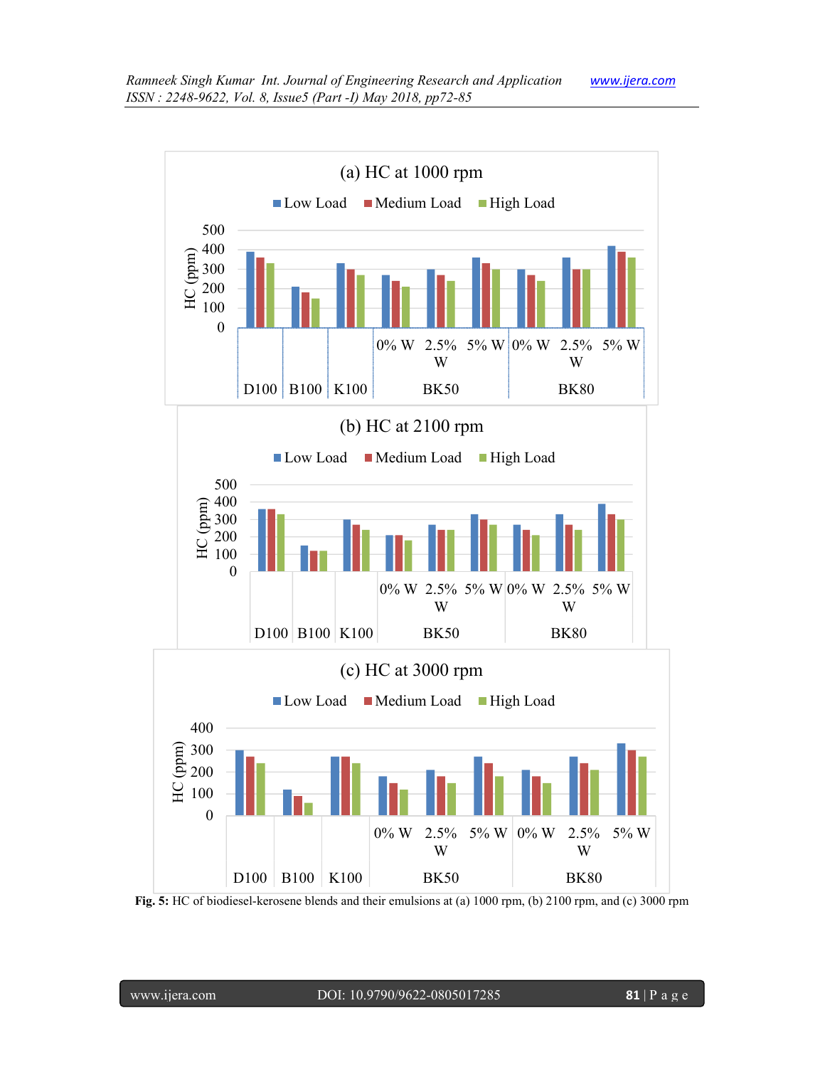

**Fig. 5:** HC of biodiesel-kerosene blends and their emulsions at (a) 1000 rpm, (b) 2100 rpm, and (c) 3000 rpm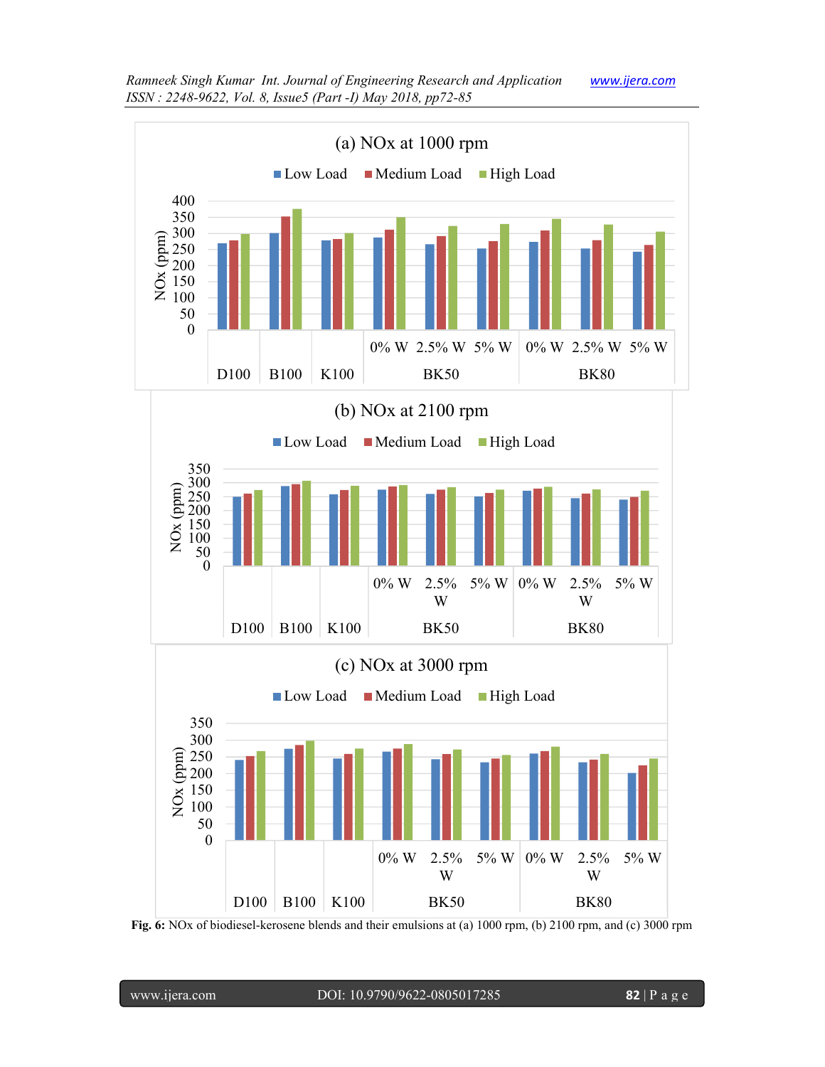

**Fig. 6:** NOx of biodiesel-kerosene blends and their emulsions at (a) 1000 rpm, (b) 2100 rpm, and (c) 3000 rpm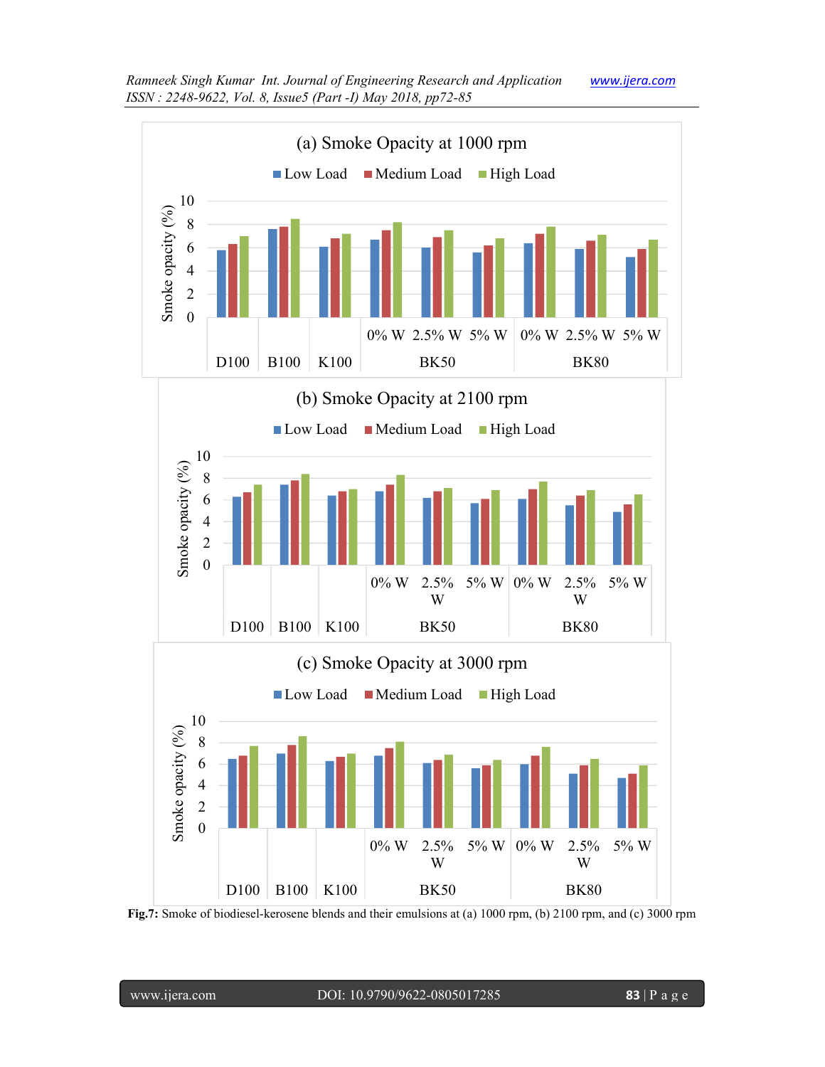

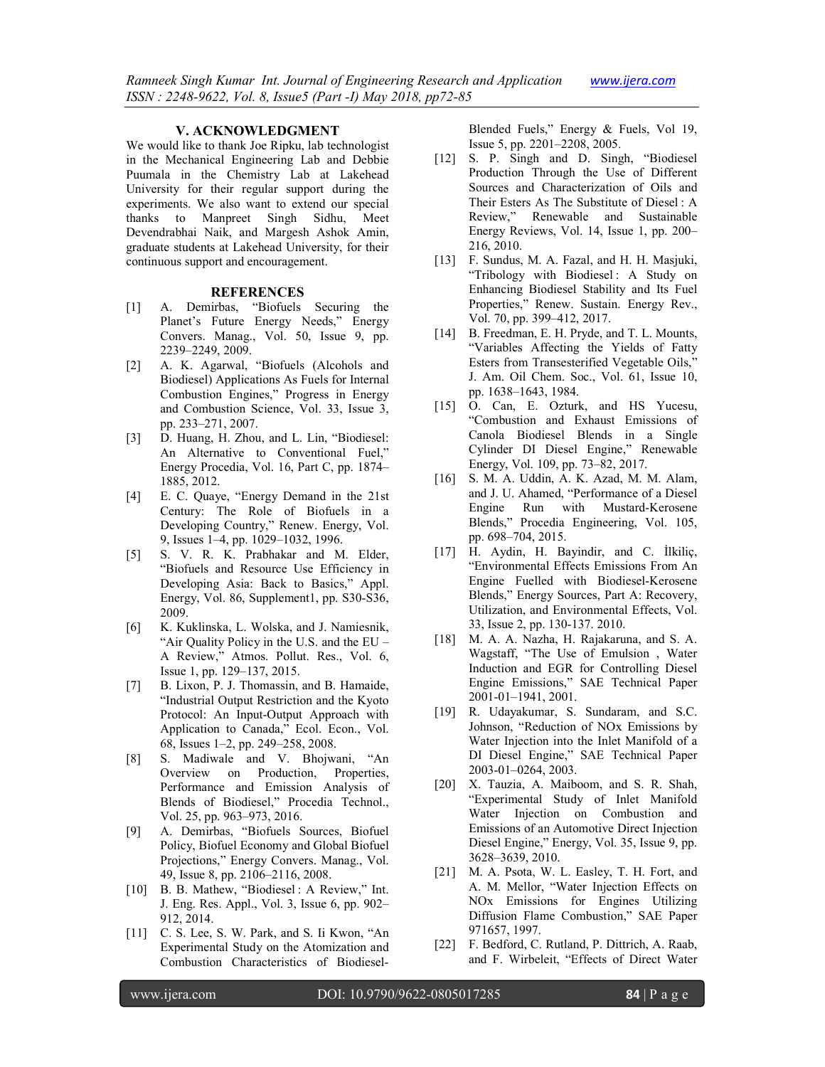#### **V. ACKNOWLEDGMENT**

We would like to thank Joe Ripku, lab technologist in the Mechanical Engineering Lab and Debbie Puumala in the Chemistry Lab at Lakehead University for their regular support during the experiments. We also want to extend our special thanks to Manpreet Singh Sidhu, Meet Devendrabhai Naik, and Margesh Ashok Amin, graduate students at Lakehead University, for their continuous support and encouragement.

#### **REFERENCES**

- [1] A. Demirbas, "Biofuels Securing the Planet's Future Energy Needs," Energy Convers. Manag., Vol. 50, Issue 9, pp. 2239–2249, 2009.
- [2] A. K. Agarwal, "Biofuels (Alcohols and Biodiesel) Applications As Fuels for Internal Combustion Engines," Progress in Energy and Combustion Science, Vol. 33, Issue 3, pp. 233–271, 2007.
- [3] D. Huang, H. Zhou, and L. Lin, "Biodiesel: An Alternative to Conventional Fuel," Energy Procedia, Vol. 16, Part C, pp. 1874– 1885, 2012.
- [4] E. C. Quaye, "Energy Demand in the 21st Century: The Role of Biofuels in a Developing Country," Renew. Energy, Vol. 9, Issues 1–4, pp. 1029–1032, 1996.
- [5] S. V. R. K. Prabhakar and M. Elder, "Biofuels and Resource Use Efficiency in Developing Asia: Back to Basics," Appl. Energy, Vol. 86, Supplement1, pp. S30-S36, 2009.
- [6] K. Kuklinska, L. Wolska, and J. Namiesnik, "Air Quality Policy in the U.S. and the EU – A Review," Atmos. Pollut. Res., Vol. 6, Issue 1, pp. 129–137, 2015.
- [7] B. Lixon, P. J. Thomassin, and B. Hamaide, "Industrial Output Restriction and the Kyoto Protocol: An Input-Output Approach with Application to Canada," Ecol. Econ., Vol. 68, Issues 1–2, pp. 249–258, 2008.
- [8] S. Madiwale and V. Bhojwani, "An Overview on Production, Properties, Performance and Emission Analysis of Blends of Biodiesel," Procedia Technol., Vol. 25, pp. 963–973, 2016.
- [9] A. Demirbas, "Biofuels Sources, Biofuel Policy, Biofuel Economy and Global Biofuel Projections," Energy Convers. Manag., Vol. 49, Issue 8, pp. 2106–2116, 2008.
- [10] B. B. Mathew, "Biodiesel : A Review," Int. J. Eng. Res. Appl., Vol. 3, Issue 6, pp. 902– 912, 2014.
- [11] C. S. Lee, S. W. Park, and S. Ii Kwon, "An Experimental Study on the Atomization and Combustion Characteristics of Biodiesel-

Blended Fuels," Energy & Fuels, Vol 19, Issue 5, pp. 2201–2208, 2005.

- [12] S. P. Singh and D. Singh, "Biodiesel Production Through the Use of Different Sources and Characterization of Oils and Their Esters As The Substitute of Diesel : A Review," Renewable and Sustainable Energy Reviews, Vol. 14, Issue 1, pp. 200– 216, 2010.
- [13] F. Sundus, M. A. Fazal, and H. H. Masjuki, "Tribology with Biodiesel : A Study on Enhancing Biodiesel Stability and Its Fuel Properties," Renew. Sustain. Energy Rev., Vol. 70, pp. 399–412, 2017.
- [14] B. Freedman, E. H. Pryde, and T. L. Mounts, "Variables Affecting the Yields of Fatty Esters from Transesterified Vegetable Oils," J. Am. Oil Chem. Soc., Vol. 61, Issue 10, pp. 1638–1643, 1984.
- [15] O. Can, E. Ozturk, and HS Yucesu, "Combustion and Exhaust Emissions of Canola Biodiesel Blends in a Single Cylinder DI Diesel Engine," Renewable Energy, Vol. 109, pp. 73–82, 2017.
- [16] S. M. A. Uddin, A. K. Azad, M. M. Alam, and J. U. Ahamed, "Performance of a Diesel Engine Run with Mustard-Kerosene Blends," Procedia Engineering, Vol. 105, pp. 698–704, 2015.
- [17] H. Aydin, H. Bayindir, and C. İlkiliç, "Environmental Effects Emissions From An Engine Fuelled with Biodiesel-Kerosene Blends," Energy Sources, Part A: Recovery, Utilization, and Environmental Effects, Vol. 33, Issue 2, pp. 130-137. 2010.
- [18] M. A. A. Nazha, H. Rajakaruna, and S. A. Wagstaff, "The Use of Emulsion , Water Induction and EGR for Controlling Diesel Engine Emissions," SAE Technical Paper 2001-01–1941, 2001.
- [19] R. Udayakumar, S. Sundaram, and S.C. Johnson, "Reduction of NOx Emissions by Water Injection into the Inlet Manifold of a DI Diesel Engine," SAE Technical Paper 2003-01–0264, 2003.
- [20] X. Tauzia, A. Maiboom, and S. R. Shah, "Experimental Study of Inlet Manifold Water Injection on Combustion and Emissions of an Automotive Direct Injection Diesel Engine," Energy, Vol. 35, Issue 9, pp. 3628–3639, 2010.
- [21] M. A. Psota, W. L. Easley, T. H. Fort, and A. M. Mellor, "Water Injection Effects on NOx Emissions for Engines Utilizing Diffusion Flame Combustion," SAE Paper 971657, 1997.
- [22] F. Bedford, C. Rutland, P. Dittrich, A. Raab, and F. Wirbeleit, "Effects of Direct Water